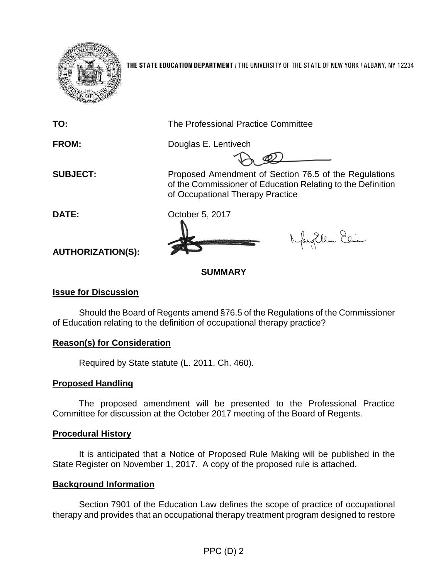

**THE STATE EDUCATION DEPARTMENT** / THE UNIVERSITY OF THE STATE OF NEW YORK / ALBANY, NY 12234

**TO:** The Professional Practice Committee

of Occupational Therapy Practice

**FROM:** Douglas E. Lentivech

of the Commissioner of Education Relating to the Definition

**SUBJECT:** Proposed Amendment of Section 76.5 of the Regulations

**DATE:** October 5, 2017

Nayollem Elia

**AUTHORIZATION(S):**

# **SUMMARY**

## **Issue for Discussion**

Should the Board of Regents amend §76.5 of the Regulations of the Commissioner of Education relating to the definition of occupational therapy practice?

### **Reason(s) for Consideration**

Required by State statute (L. 2011, Ch. 460).

### **Proposed Handling**

The proposed amendment will be presented to the Professional Practice Committee for discussion at the October 2017 meeting of the Board of Regents.

### **Procedural History**

It is anticipated that a Notice of Proposed Rule Making will be published in the State Register on November 1, 2017. A copy of the proposed rule is attached.

### **Background Information**

Section 7901 of the Education Law defines the scope of practice of occupational therapy and provides that an occupational therapy treatment program designed to restore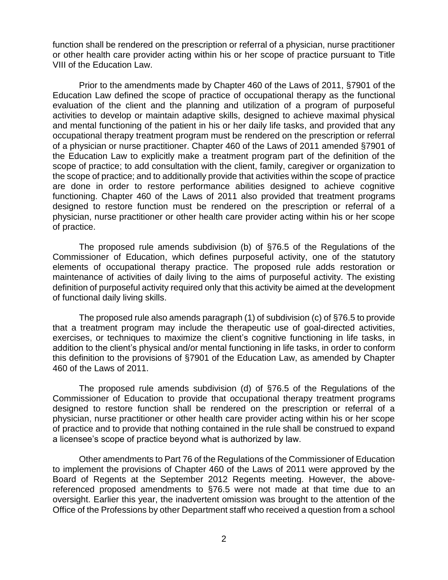function shall be rendered on the prescription or referral of a physician, nurse practitioner or other health care provider acting within his or her scope of practice pursuant to Title VIII of the Education Law.

Prior to the amendments made by Chapter 460 of the Laws of 2011, §7901 of the Education Law defined the scope of practice of occupational therapy as the functional evaluation of the client and the planning and utilization of a program of purposeful activities to develop or maintain adaptive skills, designed to achieve maximal physical and mental functioning of the patient in his or her daily life tasks, and provided that any occupational therapy treatment program must be rendered on the prescription or referral of a physician or nurse practitioner. Chapter 460 of the Laws of 2011 amended §7901 of the Education Law to explicitly make a treatment program part of the definition of the scope of practice; to add consultation with the client, family, caregiver or organization to the scope of practice; and to additionally provide that activities within the scope of practice are done in order to restore performance abilities designed to achieve cognitive functioning. Chapter 460 of the Laws of 2011 also provided that treatment programs designed to restore function must be rendered on the prescription or referral of a physician, nurse practitioner or other health care provider acting within his or her scope of practice.

The proposed rule amends subdivision (b) of §76.5 of the Regulations of the Commissioner of Education, which defines purposeful activity, one of the statutory elements of occupational therapy practice. The proposed rule adds restoration or maintenance of activities of daily living to the aims of purposeful activity. The existing definition of purposeful activity required only that this activity be aimed at the development of functional daily living skills.

The proposed rule also amends paragraph (1) of subdivision (c) of §76.5 to provide that a treatment program may include the therapeutic use of goal-directed activities, exercises, or techniques to maximize the client's cognitive functioning in life tasks, in addition to the client's physical and/or mental functioning in life tasks, in order to conform this definition to the provisions of §7901 of the Education Law, as amended by Chapter 460 of the Laws of 2011.

The proposed rule amends subdivision (d) of §76.5 of the Regulations of the Commissioner of Education to provide that occupational therapy treatment programs designed to restore function shall be rendered on the prescription or referral of a physician, nurse practitioner or other health care provider acting within his or her scope of practice and to provide that nothing contained in the rule shall be construed to expand a licensee's scope of practice beyond what is authorized by law.

Other amendments to Part 76 of the Regulations of the Commissioner of Education to implement the provisions of Chapter 460 of the Laws of 2011 were approved by the Board of Regents at the September 2012 Regents meeting. However, the abovereferenced proposed amendments to §76.5 were not made at that time due to an oversight. Earlier this year, the inadvertent omission was brought to the attention of the Office of the Professions by other Department staff who received a question from a school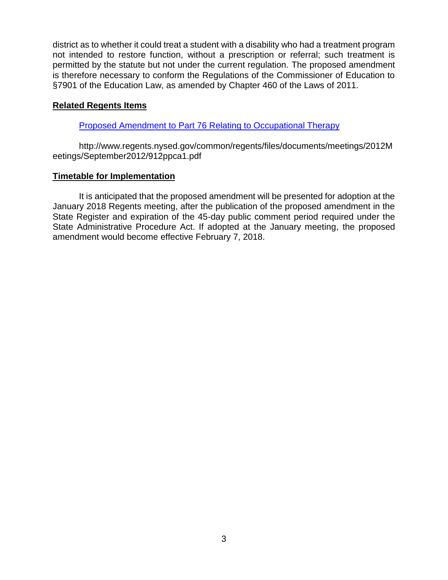district as to whether it could treat a student with a disability who had a treatment program not intended to restore function, without a prescription or referral; such treatment is permitted by the statute but not under the current regulation. The proposed amendment is therefore necessary to conform the Regulations of the Commissioner of Education to §7901 of the Education Law, as amended by Chapter 460 of the Laws of 2011.

#### **Related Regents Items**

[Proposed Amendment to Part 76 Relating to Occupational Therapy](http://www.regents.nysed.gov/common/regents/files/documents/meetings/2012Meetings/September2012/912ppca1.pdf)

http://www.regents.nysed.gov/common/regents/files/documents/meetings/2012M eetings/September2012/912ppca1.pdf

#### **Timetable for Implementation**

It is anticipated that the proposed amendment will be presented for adoption at the January 2018 Regents meeting, after the publication of the proposed amendment in the State Register and expiration of the 45-day public comment period required under the State Administrative Procedure Act. If adopted at the January meeting, the proposed amendment would become effective February 7, 2018.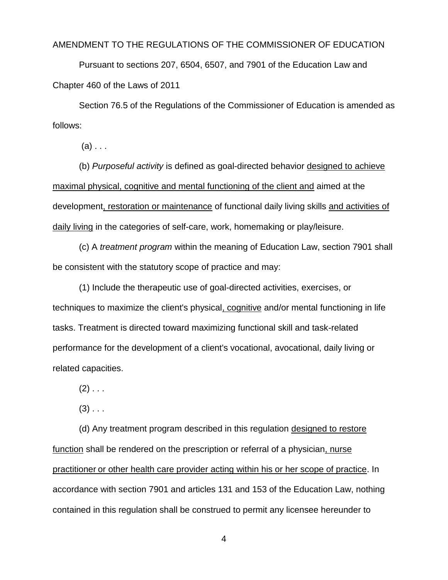AMENDMENT TO THE REGULATIONS OF THE COMMISSIONER OF EDUCATION

Pursuant to sections 207, 6504, 6507, and 7901 of the Education Law and Chapter 460 of the Laws of 2011

Section 76.5 of the Regulations of the Commissioner of Education is amended as follows:

 $(a)$ ...

(b) *Purposeful activity* is defined as goal-directed behavior designed to achieve maximal physical, cognitive and mental functioning of the client and aimed at the development, restoration or maintenance of functional daily living skills and activities of daily living in the categories of self-care, work, homemaking or play/leisure.

(c) A *treatment program* within the meaning of Education Law, section 7901 shall be consistent with the statutory scope of practice and may:

(1) Include the therapeutic use of goal-directed activities, exercises, or techniques to maximize the client's physical, cognitive and/or mental functioning in life tasks. Treatment is directed toward maximizing functional skill and task-related performance for the development of a client's vocational, avocational, daily living or related capacities.

 $(2)$  . . .

 $(3)$  . . .

(d) Any treatment program described in this regulation designed to restore function shall be rendered on the prescription or referral of a physician, nurse practitioner or other health care provider acting within his or her scope of practice. In accordance with section 7901 and articles 131 and 153 of the Education Law, nothing contained in this regulation shall be construed to permit any licensee hereunder to

4